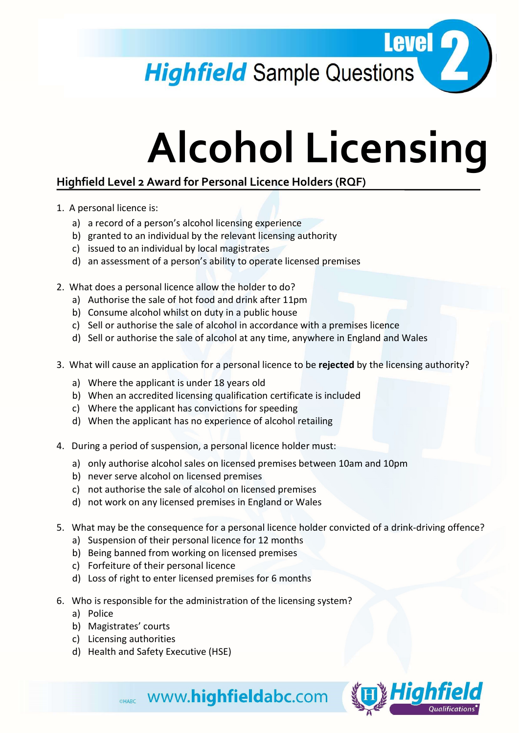Level 2 **Highfield** Sample Questions

## Alcohol Licensing

## Highfield Level 2 Award for Personal Licence Holders (RQF)

- 1. A personal licence is:
	- a) a record of a person's alcohol licensing experience
	- b) granted to an individual by the relevant licensing authority
	- c) issued to an individual by local magistrates
	- d) an assessment of a person's ability to operate licensed premises
- 2. What does a personal licence allow the holder to do?
	- a) Authorise the sale of hot food and drink after 11pm
	- b) Consume alcohol whilst on duty in a public house
	- c) Sell or authorise the sale of alcohol in accordance with a premises licence
	- d) Sell or authorise the sale of alcohol at any time, anywhere in England and Wales
- 3. What will cause an application for a personal licence to be rejected by the licensing authority?
	- a) Where the applicant is under 18 years old
	- b) When an accredited licensing qualification certificate is included
	- c) Where the applicant has convictions for speeding
	- d) When the applicant has no experience of alcohol retailing
- 4. During a period of suspension, a personal licence holder must:
	- a) only authorise alcohol sales on licensed premises between 10am and 10pm
	- b) never serve alcohol on licensed premises
	- c) not authorise the sale of alcohol on licensed premises
	- d) not work on any licensed premises in England or Wales
- 5. What may be the consequence for a personal licence holder convicted of a drink-driving offence?
	- a) Suspension of their personal licence for 12 months
	- b) Being banned from working on licensed premises
	- c) Forfeiture of their personal licence
	- d) Loss of right to enter licensed premises for 6 months
- 6. Who is responsible for the administration of the licensing system?

**OHABC WWW.highfieldabc.com** 

- a) Police
- b) Magistrates' courts
- c) Licensing authorities
- d) Health and Safety Executive (HSE)